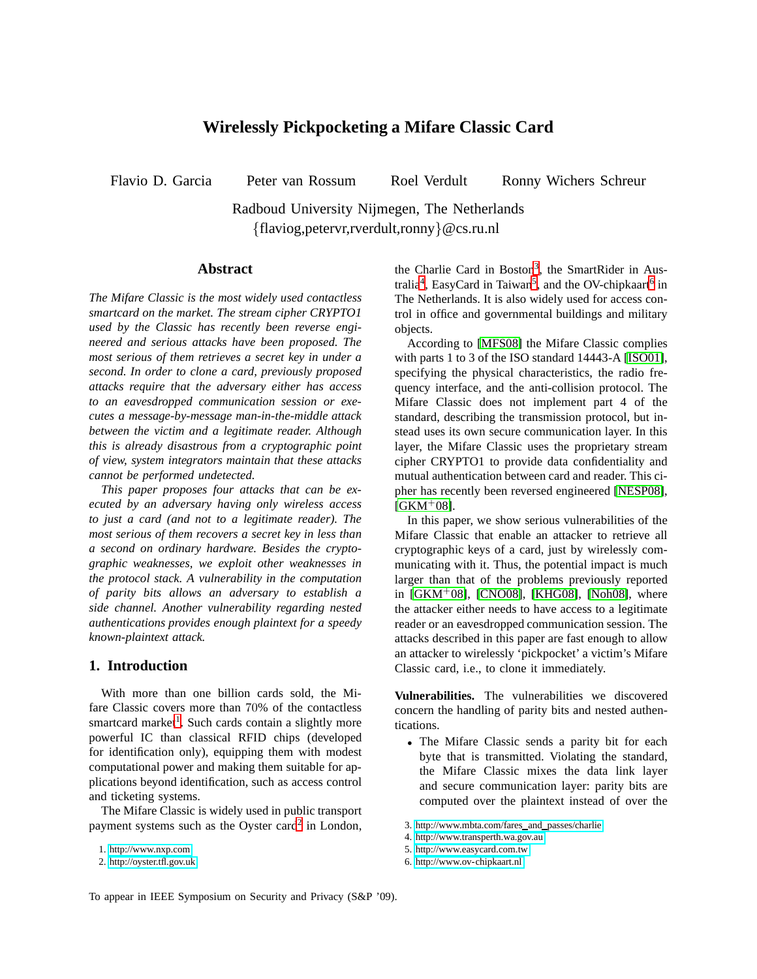# **Wirelessly Pickpocketing a Mifare Classic Card**

Flavio D. Garcia Peter van Rossum Roel Verdult Ronny Wichers Schreur

Radboud University Nijmegen, The Netherlands {flaviog,petervr,rverdult,ronny}@cs.ru.nl

## **Abstract**

*The Mifare Classic is the most widely used contactless smartcard on the market. The stream cipher CRYPTO1 used by the Classic has recently been reverse engineered and serious attacks have been proposed. The most serious of them retrieves a secret key in under a second. In order to clone a card, previously proposed attacks require that the adversary either has access to an eavesdropped communication session or executes a message-by-message man-in-the-middle attack between the victim and a legitimate reader. Although this is already disastrous from a cryptographic point of view, system integrators maintain that these attacks cannot be performed undetected.*

*This paper proposes four attacks that can be executed by an adversary having only wireless access to just a card (and not to a legitimate reader). The most serious of them recovers a secret key in less than a second on ordinary hardware. Besides the cryptographic weaknesses, we exploit other weaknesses in the protocol stack. A vulnerability in the computation of parity bits allows an adversary to establish a side channel. Another vulnerability regarding nested authentications provides enough plaintext for a speedy known-plaintext attack.*

## **1. Introduction**

With more than one billion cards sold, the Mifare Classic covers more than 70% of the contactless smartcard market<sup>[1](#page-0-0)</sup>. Such cards contain a slightly more powerful IC than classical RFID chips (developed for identification only), equipping them with modest computational power and making them suitable for applications beyond identification, such as access control and ticketing systems.

The Mifare Classic is widely used in public transport payment systems such as the Oyster card<sup>[2](#page-0-1)</sup> in London,

the Charlie Card in Boston<sup>[3](#page-0-2)</sup>, the SmartRider in Aus-tralia<sup>[4](#page-0-3)</sup>, EasyCard in Taiwan<sup>[5](#page-0-4)</sup>, and the OV-chipkaart<sup>[6](#page-0-5)</sup> in The Netherlands. It is also widely used for access control in office and governmental buildings and military objects.

According to [\[MFS08\]](#page-12-0) the Mifare Classic complies with parts 1 to 3 of the ISO standard 14443-A [\[ISO01\]](#page-11-0), specifying the physical characteristics, the radio frequency interface, and the anti-collision protocol. The Mifare Classic does not implement part 4 of the standard, describing the transmission protocol, but instead uses its own secure communication layer. In this layer, the Mifare Classic uses the proprietary stream cipher CRYPTO1 to provide data confidentiality and mutual authentication between card and reader. This cipher has recently been reversed engineered [\[NESP08\]](#page-12-1),  $IGKM$ <sup>+</sup>08].

In this paper, we show serious vulnerabilities of the Mifare Classic that enable an attacker to retrieve all cryptographic keys of a card, just by wirelessly communicating with it. Thus, the potential impact is much larger than that of the problems previously reported in  $[GKM^+08]$ ,  $[CNO08]$ ,  $[KHG08]$ ,  $[Noh08]$ , where the attacker either needs to have access to a legitimate reader or an eavesdropped communication session. The attacks described in this paper are fast enough to allow an attacker to wirelessly 'pickpocket' a victim's Mifare Classic card, i.e., to clone it immediately.

**Vulnerabilities.** The vulnerabilities we discovered concern the handling of parity bits and nested authentications.

• The Mifare Classic sends a parity bit for each byte that is transmitted. Violating the standard, the Mifare Classic mixes the data link layer and secure communication layer: parity bits are computed over the plaintext instead of over the

- <span id="page-0-2"></span>4.<http://www.transperth.wa.gov.au>
- <span id="page-0-3"></span>5.<http://www.easycard.com.tw>
- <span id="page-0-5"></span><span id="page-0-4"></span>6.<http://www.ov-chipkaart.nl>

To appear in IEEE Symposium on Security and Privacy (S&P '09).

<sup>1.</sup><http://www.nxp.com>

<span id="page-0-1"></span><span id="page-0-0"></span><sup>2.</sup><http://oyster.tfl.gov.uk>

<sup>3.</sup> [http://www.mbta.com/fares](http://www.mbta.com/fares_and_passes/charlie) and passes/charlie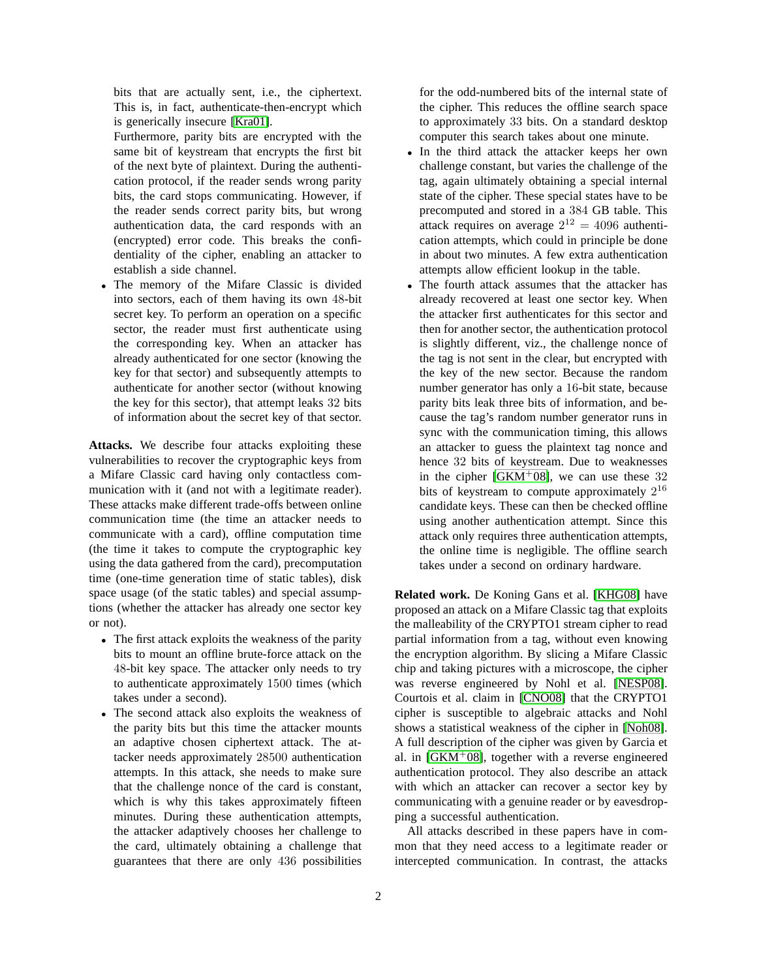bits that are actually sent, i.e., the ciphertext. This is, in fact, authenticate-then-encrypt which is generically insecure [\[Kra01\]](#page-12-3).

Furthermore, parity bits are encrypted with the same bit of keystream that encrypts the first bit of the next byte of plaintext. During the authentication protocol, if the reader sends wrong parity bits, the card stops communicating. However, if the reader sends correct parity bits, but wrong authentication data, the card responds with an (encrypted) error code. This breaks the confidentiality of the cipher, enabling an attacker to establish a side channel.

• The memory of the Mifare Classic is divided into sectors, each of them having its own 48-bit secret key. To perform an operation on a specific sector, the reader must first authenticate using the corresponding key. When an attacker has already authenticated for one sector (knowing the key for that sector) and subsequently attempts to authenticate for another sector (without knowing the key for this sector), that attempt leaks 32 bits of information about the secret key of that sector.

**Attacks.** We describe four attacks exploiting these vulnerabilities to recover the cryptographic keys from a Mifare Classic card having only contactless communication with it (and not with a legitimate reader). These attacks make different trade-offs between online communication time (the time an attacker needs to communicate with a card), offline computation time (the time it takes to compute the cryptographic key using the data gathered from the card), precomputation time (one-time generation time of static tables), disk space usage (of the static tables) and special assumptions (whether the attacker has already one sector key or not).

- The first attack exploits the weakness of the parity bits to mount an offline brute-force attack on the 48-bit key space. The attacker only needs to try to authenticate approximately 1500 times (which takes under a second).
- The second attack also exploits the weakness of the parity bits but this time the attacker mounts an adaptive chosen ciphertext attack. The attacker needs approximately 28500 authentication attempts. In this attack, she needs to make sure that the challenge nonce of the card is constant, which is why this takes approximately fifteen minutes. During these authentication attempts, the attacker adaptively chooses her challenge to the card, ultimately obtaining a challenge that guarantees that there are only 436 possibilities

for the odd-numbered bits of the internal state of the cipher. This reduces the offline search space to approximately 33 bits. On a standard desktop computer this search takes about one minute.

- In the third attack the attacker keeps her own challenge constant, but varies the challenge of the tag, again ultimately obtaining a special internal state of the cipher. These special states have to be precomputed and stored in a 384 GB table. This attack requires on average  $2^{12} = 4096$  authentication attempts, which could in principle be done in about two minutes. A few extra authentication attempts allow efficient lookup in the table.
- The fourth attack assumes that the attacker has already recovered at least one sector key. When the attacker first authenticates for this sector and then for another sector, the authentication protocol is slightly different, viz., the challenge nonce of the tag is not sent in the clear, but encrypted with the key of the new sector. Because the random number generator has only a 16-bit state, because parity bits leak three bits of information, and because the tag's random number generator runs in sync with the communication timing, this allows an attacker to guess the plaintext tag nonce and hence 32 bits of keystream. Due to weaknesses in the cipher  $[GKM^+08]$  $[GKM^+08]$ , we can use these 32 bits of keystream to compute approximately  $2^{16}$ candidate keys. These can then be checked offline using another authentication attempt. Since this attack only requires three authentication attempts, the online time is negligible. The offline search takes under a second on ordinary hardware.

**Related work.** De Koning Gans et al. [\[KHG08\]](#page-11-3) have proposed an attack on a Mifare Classic tag that exploits the malleability of the CRYPTO1 stream cipher to read partial information from a tag, without even knowing the encryption algorithm. By slicing a Mifare Classic chip and taking pictures with a microscope, the cipher was reverse engineered by Nohl et al. [\[NESP08\]](#page-12-1). Courtois et al. claim in [\[CNO08\]](#page-11-2) that the CRYPTO1 cipher is susceptible to algebraic attacks and Nohl shows a statistical weakness of the cipher in [\[Noh08\]](#page-12-2). A full description of the cipher was given by Garcia et al. in  $[GKM^+08]$ , together with a reverse engineered authentication protocol. They also describe an attack with which an attacker can recover a sector key by communicating with a genuine reader or by eavesdropping a successful authentication.

All attacks described in these papers have in common that they need access to a legitimate reader or intercepted communication. In contrast, the attacks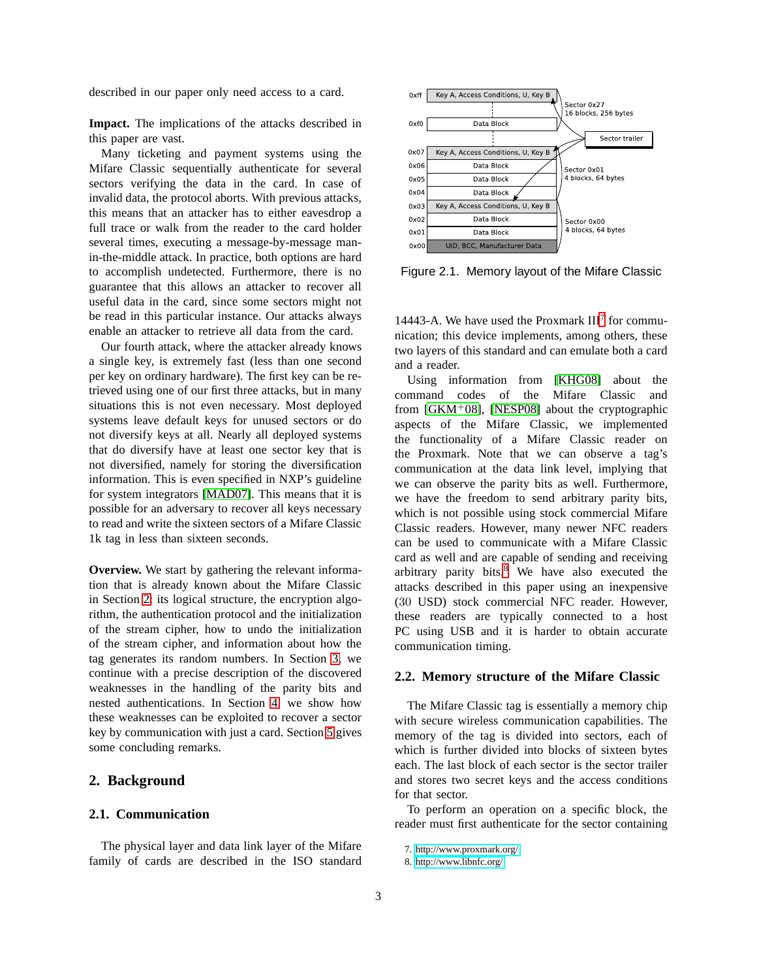described in our paper only need access to a card.

**Impact.** The implications of the attacks described in this paper are vast.

Many ticketing and payment systems using the Mifare Classic sequentially authenticate for several sectors verifying the data in the card. In case of invalid data, the protocol aborts. With previous attacks, this means that an attacker has to either eavesdrop a full trace or walk from the reader to the card holder several times, executing a message-by-message manin-the-middle attack. In practice, both options are hard to accomplish undetected. Furthermore, there is no guarantee that this allows an attacker to recover all useful data in the card, since some sectors might not be read in this particular instance. Our attacks always enable an attacker to retrieve all data from the card.

Our fourth attack, where the attacker already knows a single key, is extremely fast (less than one second per key on ordinary hardware). The first key can be retrieved using one of our first three attacks, but in many situations this is not even necessary. Most deployed systems leave default keys for unused sectors or do not diversify keys at all. Nearly all deployed systems that do diversify have at least one sector key that is not diversified, namely for storing the diversification information. This is even specified in NXP's guideline for system integrators [\[MAD07\]](#page-12-4). This means that it is possible for an adversary to recover all keys necessary to read and write the sixteen sectors of a Mifare Classic 1k tag in less than sixteen seconds.

**Overview.** We start by gathering the relevant information that is already known about the Mifare Classic in Section [2:](#page-2-0) its logical structure, the encryption algorithm, the authentication protocol and the initialization of the stream cipher, how to undo the initialization of the stream cipher, and information about how the tag generates its random numbers. In Section [3,](#page-5-0) we continue with a precise description of the discovered weaknesses in the handling of the parity bits and nested authentications. In Section [4,](#page-6-0) we show how these weaknesses can be exploited to recover a sector key by communication with just a card. Section [5](#page-11-4) gives some concluding remarks.

## <span id="page-2-0"></span>**2. Background**

#### **2.1. Communication**

The physical layer and data link layer of the Mifare family of cards are described in the ISO standard



<span id="page-2-3"></span>Figure 2.1. Memory layout of the Mifare Classic

14443-A. We have used the Proxmark  $III<sup>7</sup>$  $III<sup>7</sup>$  $III<sup>7</sup>$  for communication; this device implements, among others, these two layers of this standard and can emulate both a card and a reader.

Using information from [\[KHG08\]](#page-11-3) about the command codes of the Mifare Classic and from  $[GKM^+08]$  $[GKM^+08]$ ,  $[NESP08]$  about the cryptographic aspects of the Mifare Classic, we implemented the functionality of a Mifare Classic reader on the Proxmark. Note that we can observe a tag's communication at the data link level, implying that we can observe the parity bits as well. Furthermore, we have the freedom to send arbitrary parity bits, which is not possible using stock commercial Mifare Classic readers. However, many newer NFC readers can be used to communicate with a Mifare Classic card as well and are capable of sending and receiving arbitrary parity bits.[8](#page-2-2) We have also executed the attacks described in this paper using an inexpensive (30 USD) stock commercial NFC reader. However, these readers are typically connected to a host PC using USB and it is harder to obtain accurate communication timing.

#### **2.2. Memory structure of the Mifare Classic**

The Mifare Classic tag is essentially a memory chip with secure wireless communication capabilities. The memory of the tag is divided into sectors, each of which is further divided into blocks of sixteen bytes each. The last block of each sector is the sector trailer and stores two secret keys and the access conditions for that sector.

To perform an operation on a specific block, the reader must first authenticate for the sector containing

<sup>7.</sup><http://www.proxmark.org/>

<span id="page-2-2"></span><span id="page-2-1"></span><sup>8.</sup><http://www.libnfc.org/>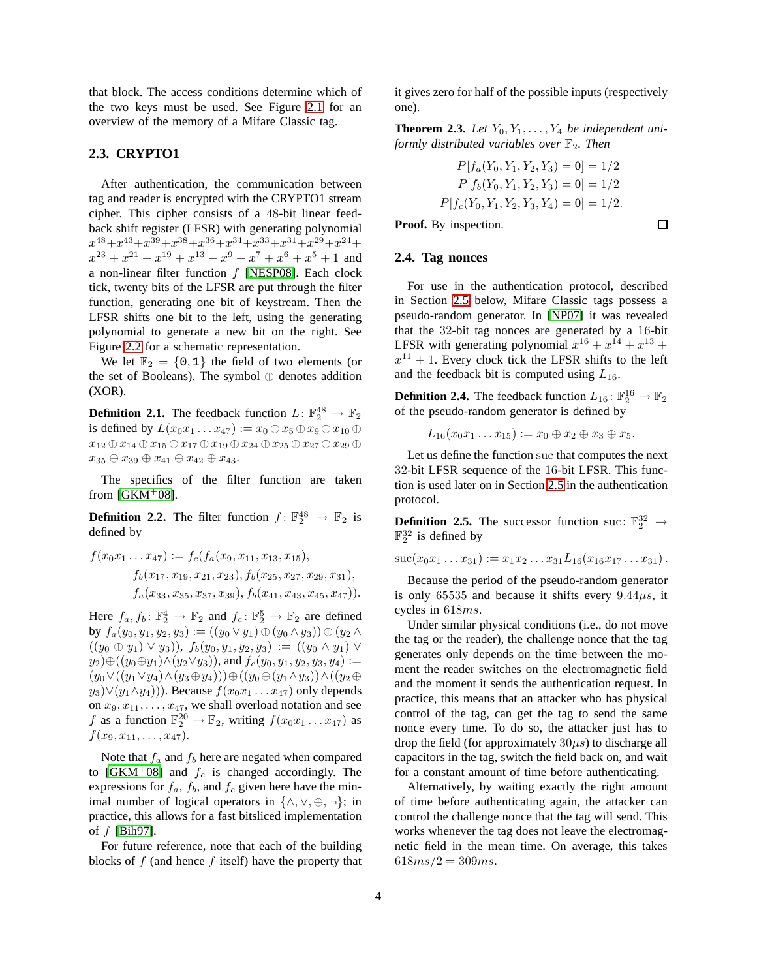that block. The access conditions determine which of the two keys must be used. See Figure [2.1](#page-2-3) for an overview of the memory of a Mifare Classic tag.

#### **2.3. CRYPTO1**

After authentication, the communication between tag and reader is encrypted with the CRYPTO1 stream cipher. This cipher consists of a 48-bit linear feedback shift register (LFSR) with generating polynomial  $x^{48} + x^{43} + x^{39} + x^{38} + x^{36} + x^{34} + x^{33} + x^{31} + x^{29} + x^{24} +$  $x^{23} + x^{21} + x^{19} + x^{13} + x^9 + x^7 + x^6 + x^5 + 1$  and a non-linear filter function  $f$  [\[NESP08\]](#page-12-1). Each clock tick, twenty bits of the LFSR are put through the filter function, generating one bit of keystream. Then the LFSR shifts one bit to the left, using the generating polynomial to generate a new bit on the right. See Figure [2.2](#page-4-0) for a schematic representation.

We let  $\mathbb{F}_2 = \{0, 1\}$  the field of two elements (or the set of Booleans). The symbol ⊕ denotes addition (XOR).

**Definition 2.1.** The feedback function  $L: \mathbb{F}_2^{48} \to \mathbb{F}_2$ is defined by  $L(x_0x_1 \ldots x_{47}) := x_0 \oplus x_5 \oplus x_9 \oplus x_{10} \oplus x_1$  $x_{12} \oplus x_{14} \oplus x_{15} \oplus x_{17} \oplus x_{19} \oplus x_{24} \oplus x_{25} \oplus x_{27} \oplus x_{29} \oplus x_{18}$  $x_{35} \oplus x_{39} \oplus x_{41} \oplus x_{42} \oplus x_{43}.$ 

The specifics of the filter function are taken from  $[GKM^+08]$ .

**Definition 2.2.** The filter function  $f: \mathbb{F}_2^{48} \to \mathbb{F}_2$  is defined by

$$
f(x_0x_1 \ldots x_{47}) := f_c(f_a(x_9, x_{11}, x_{13}, x_{15}),
$$
  
\n
$$
f_b(x_{17}, x_{19}, x_{21}, x_{23}), f_b(x_{25}, x_{27}, x_{29}, x_{31}),
$$
  
\n
$$
f_a(x_{33}, x_{35}, x_{37}, x_{39}), f_b(x_{41}, x_{43}, x_{45}, x_{47})).
$$

Here  $f_a, f_b: \mathbb{F}_2^4 \to \mathbb{F}_2$  and  $f_c: \mathbb{F}_2^5 \to \mathbb{F}_2$  are defined by  $f_a(y_0, y_1, y_2, y_3) := ((y_0 \vee y_1) \oplus (y_0 \wedge y_3)) \oplus (y_2 \wedge y_1)$  $((y_0 \oplus y_1) \vee y_3)$ ,  $f_b(y_0, y_1, y_2, y_3) := ((y_0 \wedge y_1) \vee y_2)$  $y_2) \oplus ((y_0 \oplus y_1) \wedge (y_2 \vee y_3))$ , and  $f_c(y_0, y_1, y_2, y_3, y_4) :=$  $(y_0 \vee ((y_1 \vee y_4) \wedge (y_3 \oplus y_4))) \oplus ((y_0 \oplus (y_1 \wedge y_3)) \wedge ((y_2 \oplus y_4))))$  $(y_3)\vee(y_1\wedge y_4))$ . Because  $f(x_0x_1 \ldots x_{47})$  only depends on  $x_9, x_{11}, \ldots, x_{47}$ , we shall overload notation and see f as a function  $\mathbb{F}_2^{20} \to \mathbb{F}_2$ , writing  $f(x_0x_1 \dots x_{47})$  as  $f(x_9, x_{11}, \ldots, x_{47}).$ 

Note that  $f_a$  and  $f_b$  here are negated when compared to [\[GKM](#page-11-1)<sup>+</sup>08] and  $f_c$  is changed accordingly. The expressions for  $f_a$ ,  $f_b$ , and  $f_c$  given here have the minimal number of logical operators in  $\{\wedge, \vee, \oplus, \neg\}$ ; in practice, this allows for a fast bitsliced implementation of f [\[Bih97\]](#page-11-5).

For future reference, note that each of the building blocks of  $f$  (and hence  $f$  itself) have the property that <span id="page-3-0"></span>it gives zero for half of the possible inputs (respectively one).

**Theorem 2.3.** Let  $Y_0, Y_1, \ldots, Y_4$  be independent uni*formly distributed variables over*  $\mathbb{F}_2$ *. Then* 

$$
P[f_a(Y_0, Y_1, Y_2, Y_3) = 0] = 1/2
$$
  
\n
$$
P[f_b(Y_0, Y_1, Y_2, Y_3) = 0] = 1/2
$$
  
\n
$$
P[f_c(Y_0, Y_1, Y_2, Y_3, Y_4) = 0] = 1/2.
$$

 $\Box$ 

#### **2.4. Tag nonces**

**Proof.** By inspection.

For use in the authentication protocol, described in Section [2.5](#page-4-1) below, Mifare Classic tags possess a pseudo-random generator. In [\[NP07\]](#page-12-5) it was revealed that the 32-bit tag nonces are generated by a 16-bit LFSR with generating polynomial  $x^{16} + x^{14} + x^{13} +$  $x^{11} + 1$ . Every clock tick the LFSR shifts to the left and the feedback bit is computed using  $L_{16}$ .

**Definition 2.4.** The feedback function  $L_{16}$ :  $\mathbb{F}_2^{16} \to \mathbb{F}_2$ of the pseudo-random generator is defined by

$$
L_{16}(x_0x_1 \ldots x_{15}) := x_0 \oplus x_2 \oplus x_3 \oplus x_5.
$$

Let us define the function suc that computes the next 32-bit LFSR sequence of the 16-bit LFSR. This function is used later on in Section [2.5](#page-4-1) in the authentication protocol.

**Definition 2.5.** The successor function suc:  $\mathbb{F}_2^{32} \rightarrow$  $\mathbb{F}_2^{32}$  is defined by

$$
succ(x_0x_1\ldots x_{31}) := x_1x_2\ldots x_{31}L_{16}(x_{16}x_{17}\ldots x_{31}).
$$

Because the period of the pseudo-random generator is only 65535 and because it shifts every  $9.44\mu s$ , it cycles in 618ms.

Under similar physical conditions (i.e., do not move the tag or the reader), the challenge nonce that the tag generates only depends on the time between the moment the reader switches on the electromagnetic field and the moment it sends the authentication request. In practice, this means that an attacker who has physical control of the tag, can get the tag to send the same nonce every time. To do so, the attacker just has to drop the field (for approximately  $30\mu s$ ) to discharge all capacitors in the tag, switch the field back on, and wait for a constant amount of time before authenticating.

Alternatively, by waiting exactly the right amount of time before authenticating again, the attacker can control the challenge nonce that the tag will send. This works whenever the tag does not leave the electromagnetic field in the mean time. On average, this takes  $618ms/2 = 309ms.$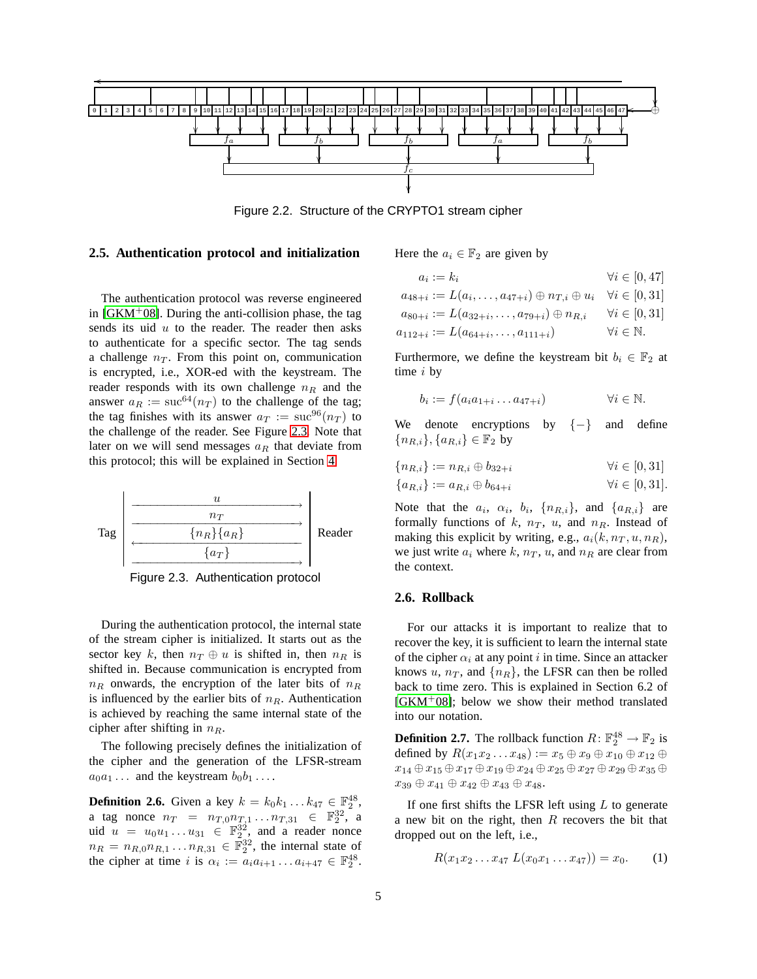

<span id="page-4-0"></span>Figure 2.2. Structure of the CRYPTO1 stream cipher

#### <span id="page-4-1"></span>**2.5. Authentication protocol and initialization**

The authentication protocol was reverse engineered in  $[GKM<sup>+</sup>08]$ . During the anti-collision phase, the tag sends its uid  $u$  to the reader. The reader then asks to authenticate for a specific sector. The tag sends a challenge  $n<sub>T</sub>$ . From this point on, communication is encrypted, i.e., XOR-ed with the keystream. The reader responds with its own challenge  $n_R$  and the answer  $a_R := \text{succ}^{64}(n_T)$  to the challenge of the tag; the tag finishes with its answer  $a_T := \text{succ}^{96}(n_T)$  to the challenge of the reader. See Figure [2.3.](#page-4-2) Note that later on we will send messages  $a_R$  that deviate from this protocol; this will be explained in Section [4.](#page-6-0)



<span id="page-4-2"></span>Figure 2.3. Authentication protocol

During the authentication protocol, the internal state of the stream cipher is initialized. It starts out as the sector key k, then  $n_T \oplus u$  is shifted in, then  $n_R$  is shifted in. Because communication is encrypted from  $n_R$  onwards, the encryption of the later bits of  $n_R$ is influenced by the earlier bits of  $n_R$ . Authentication is achieved by reaching the same internal state of the cipher after shifting in  $n_R$ .

The following precisely defines the initialization of the cipher and the generation of the LFSR-stream  $a_0a_1 \ldots$  and the keystream  $b_0b_1 \ldots$ 

<span id="page-4-3"></span>**Definition 2.6.** Given a key  $k = k_0 k_1 ... k_{47} \in \mathbb{F}_2^{48}$ , a tag nonce  $n_T = n_{T,0} n_{T,1} \ldots n_{T,31} \in \mathbb{F}_2^{32}$ , a uid  $u = u_0 u_1 \dots u_{31} \in \mathbb{F}_2^{32}$ , and a reader nonce  $n_R = n_{R,0} n_{R,1} \dots n_{R,31} \in \mathbb{F}_2^{32}$ , the internal state of the cipher at time i is  $\alpha_i := a_i a_{i+1} \dots a_{i+47} \in \mathbb{F}_2^{48}$ . Here the  $a_i \in \mathbb{F}_2$  are given by

$$
a_i := k_i \qquad \forall i \in [0, 47]
$$
  
\n
$$
a_{48+i} := L(a_i, \dots, a_{47+i}) \oplus n_{T,i} \oplus u_i \quad \forall i \in [0, 31]
$$
  
\n
$$
a_{80+i} := L(a_{32+i}, \dots, a_{79+i}) \oplus n_{R,i} \qquad \forall i \in [0, 31]
$$
  
\n
$$
a_{112+i} := L(a_{64+i}, \dots, a_{111+i}) \qquad \forall i \in \mathbb{N}.
$$

Furthermore, we define the keystream bit  $b_i \in \mathbb{F}_2$  at time i by

$$
b_i := f(a_i a_{1+i} \dots a_{47+i}) \qquad \forall i \in \mathbb{N}.
$$

We denote encryptions by  $\{-\}$  and define  ${n_{R,i}}$ ,  ${a_{R,i}} \in \mathbb{F}_2$  by

$$
\{n_{R,i}\} := n_{R,i} \oplus b_{32+i} \qquad \forall i \in [0,31]
$$

$$
\{a_{R,i}\} := a_{R,i} \oplus b_{64+i} \qquad \forall i \in [0,31].
$$

Note that the  $a_i$ ,  $\alpha_i$ ,  $b_i$ ,  $\{n_{R,i}\}$ , and  $\{a_{R,i}\}$  are formally functions of  $k$ ,  $n_T$ ,  $u$ , and  $n_R$ . Instead of making this explicit by writing, e.g.,  $a_i(k, n_T, u, n_R)$ , we just write  $a_i$  where k,  $n_T$ , u, and  $n_R$  are clear from the context.

## **2.6. Rollback**

For our attacks it is important to realize that to recover the key, it is sufficient to learn the internal state of the cipher  $\alpha_i$  at any point i in time. Since an attacker knows u,  $n_T$ , and  $\{n_R\}$ , the LFSR can then be rolled back to time zero. This is explained in Section 6.2 of [\[GKM](#page-11-1)<sup>+</sup>08]; below we show their method translated into our notation.

**Definition 2.7.** The rollback function  $R: \mathbb{F}_2^{48} \to \mathbb{F}_2$  is defined by  $R(x_1x_2 \ldots x_{48}) := x_5 \oplus x_9 \oplus x_{10} \oplus x_{12} \oplus x_{16}$  $x_{14}\oplus x_{15}\oplus x_{17}\oplus x_{19}\oplus x_{24}\oplus x_{25}\oplus x_{27}\oplus x_{29}\oplus x_{35}\oplus$  $x_{39} \oplus x_{41} \oplus x_{42} \oplus x_{43} \oplus x_{48}.$ 

If one first shifts the LFSR left using  $L$  to generate a new bit on the right, then  $R$  recovers the bit that dropped out on the left, i.e.,

<span id="page-4-5"></span><span id="page-4-4"></span>
$$
R(x_1x_2...x_{47} L(x_0x_1...x_{47})) = x_0.
$$
 (1)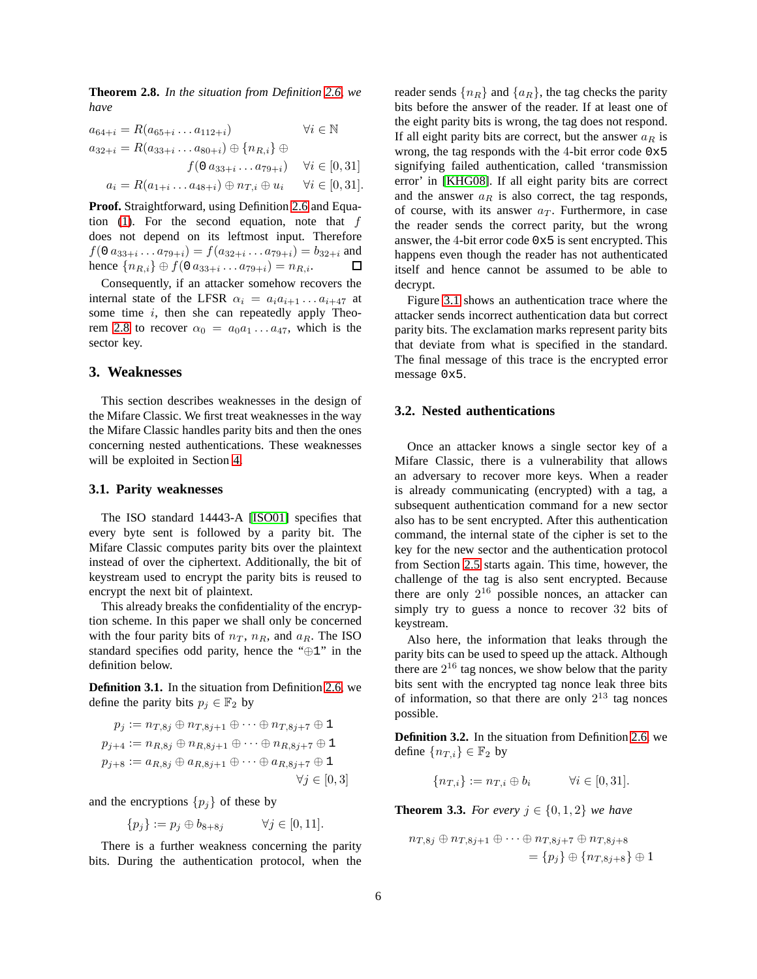**Theorem 2.8.** *In the situation from Definition [2.6,](#page-4-3) we have*

$$
a_{64+i} = R(a_{65+i} \dots a_{112+i}) \qquad \forall i \in \mathbb{N}
$$
  
\n
$$
a_{32+i} = R(a_{33+i} \dots a_{80+i}) \oplus \{n_{R,i}\} \oplus
$$
  
\n
$$
f(0 \ a_{33+i} \dots a_{79+i}) \qquad \forall i \in [0,31]
$$
  
\n
$$
a_i = R(a_{1+i} \dots a_{48+i}) \oplus n_{T,i} \oplus u_i \qquad \forall i \in [0,31].
$$

**Proof.** Straightforward, using Definition [2.6](#page-4-3) and Equa-tion [\(1\)](#page-4-4). For the second equation, note that  $f$ does not depend on its leftmost input. Therefore  $f(0 a_{33+i} \ldots a_{79+i}) = f(a_{32+i} \ldots a_{79+i}) = b_{32+i}$  and hence  ${n_{R,i}} \oplus f(0 \, a_{33+i} \ldots a_{79+i}) = n_{R,i}.$ 口

Consequently, if an attacker somehow recovers the internal state of the LFSR  $\alpha_i = a_i a_{i+1} \dots a_{i+47}$  at some time  $i$ , then she can repeatedly apply Theo-rem [2.8](#page-4-5) to recover  $\alpha_0 = a_0 a_1 \dots a_{47}$ , which is the sector key.

#### <span id="page-5-0"></span>**3. Weaknesses**

This section describes weaknesses in the design of the Mifare Classic. We first treat weaknesses in the way the Mifare Classic handles parity bits and then the ones concerning nested authentications. These weaknesses will be exploited in Section [4.](#page-6-0)

#### **3.1. Parity weaknesses**

The ISO standard 14443-A [\[ISO01\]](#page-11-0) specifies that every byte sent is followed by a parity bit. The Mifare Classic computes parity bits over the plaintext instead of over the ciphertext. Additionally, the bit of keystream used to encrypt the parity bits is reused to encrypt the next bit of plaintext.

This already breaks the confidentiality of the encryption scheme. In this paper we shall only be concerned with the four parity bits of  $n_T$ ,  $n_R$ , and  $a_R$ . The ISO standard specifies odd parity, hence the "⊕1" in the definition below.

<span id="page-5-1"></span>**Definition 3.1.** In the situation from Definition [2.6,](#page-4-3) we define the parity bits  $p_j \in \mathbb{F}_2$  by

$$
p_j := n_{T,8j} \oplus n_{T,8j+1} \oplus \cdots \oplus n_{T,8j+7} \oplus 1
$$
  
\n
$$
p_{j+4} := n_{R,8j} \oplus n_{R,8j+1} \oplus \cdots \oplus n_{R,8j+7} \oplus 1
$$
  
\n
$$
p_{j+8} := a_{R,8j} \oplus a_{R,8j+1} \oplus \cdots \oplus a_{R,8j+7} \oplus 1
$$
  
\n
$$
\forall j \in [0,3]
$$

and the encryptions  $\{p_j\}$  of these by

$$
\{p_j\} := p_j \oplus b_{8+8j} \qquad \forall j \in [0,11].
$$

There is a further weakness concerning the parity bits. During the authentication protocol, when the reader sends  $\{n_R\}$  and  $\{a_R\}$ , the tag checks the parity bits before the answer of the reader. If at least one of the eight parity bits is wrong, the tag does not respond. If all eight parity bits are correct, but the answer  $a_R$  is wrong, the tag responds with the 4-bit error code 0x5 signifying failed authentication, called 'transmission error' in [\[KHG08\]](#page-11-3). If all eight parity bits are correct and the answer  $a_R$  is also correct, the tag responds, of course, with its answer  $a_T$ . Furthermore, in case the reader sends the correct parity, but the wrong answer, the 4-bit error code 0x5 is sent encrypted. This happens even though the reader has not authenticated itself and hence cannot be assumed to be able to decrypt.

Figure [3.1](#page-6-1) shows an authentication trace where the attacker sends incorrect authentication data but correct parity bits. The exclamation marks represent parity bits that deviate from what is specified in the standard. The final message of this trace is the encrypted error message 0x5.

#### <span id="page-5-3"></span>**3.2. Nested authentications**

Once an attacker knows a single sector key of a Mifare Classic, there is a vulnerability that allows an adversary to recover more keys. When a reader is already communicating (encrypted) with a tag, a subsequent authentication command for a new sector also has to be sent encrypted. After this authentication command, the internal state of the cipher is set to the key for the new sector and the authentication protocol from Section [2.5](#page-4-1) starts again. This time, however, the challenge of the tag is also sent encrypted. Because there are only  $2^{16}$  possible nonces, an attacker can simply try to guess a nonce to recover 32 bits of keystream.

Also here, the information that leaks through the parity bits can be used to speed up the attack. Although there are  $2^{16}$  tag nonces, we show below that the parity bits sent with the encrypted tag nonce leak three bits of information, so that there are only  $2^{13}$  tag nonces possible.

<span id="page-5-2"></span>**Definition 3.2.** In the situation from Definition [2.6,](#page-4-3) we define  $\{n_{T,i}\}\in\mathbb{F}_2$  by

$$
\{n_{T,i}\} := n_{T,i} \oplus b_i \qquad \forall i \in [0,31].
$$

<span id="page-5-4"></span>**Theorem 3.3.** *For every*  $j \in \{0, 1, 2\}$  *we have* 

$$
n_{T,8j} \oplus n_{T,8j+1} \oplus \cdots \oplus n_{T,8j+7} \oplus n_{T,8j+8}
$$
  
=  $\{p_j\} \oplus \{n_{T,8j+8}\} \oplus 1$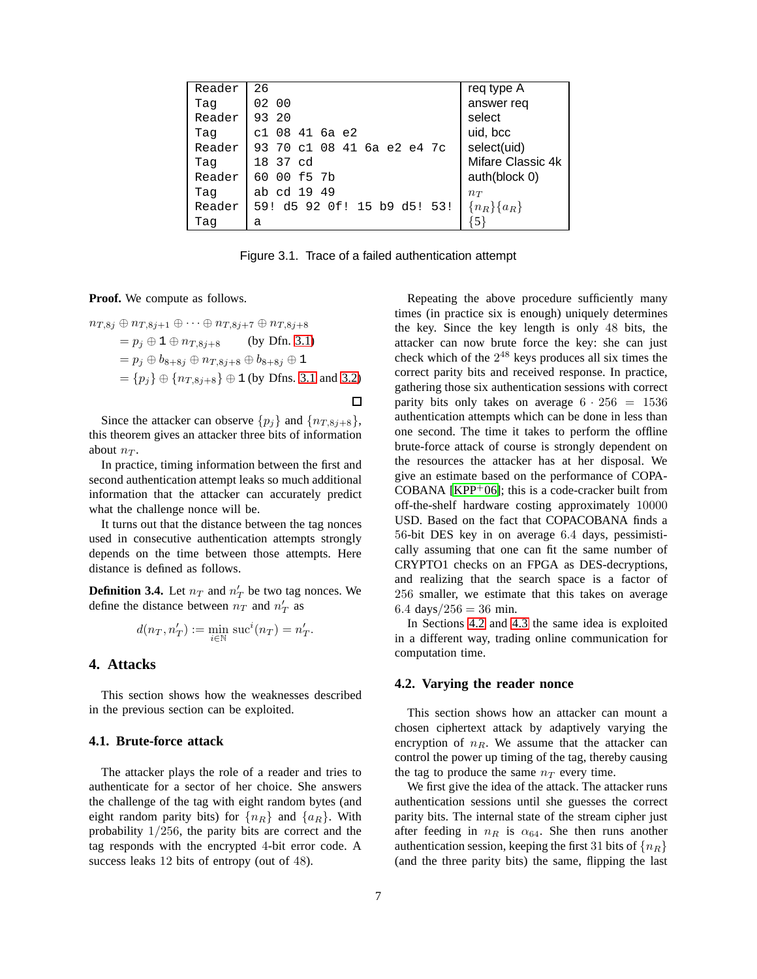| Reader | 26                          | req type A        |
|--------|-----------------------------|-------------------|
| Taq    | 02 00                       | answer req        |
| Reader | 93 20                       | select            |
| Taq    | c1 08 41 6a e2              | uid, bcc          |
| Reader | 93 70 c1 08 41 6a e2 e4 7c  | select(uid)       |
| Taq    | 18 37 cd                    | Mifare Classic 4k |
| Reader | 00 f5 7b<br>60              | auth(block 0)     |
| Taq    | ab cd 19 49                 | $n_T$             |
| Reader | 59! d5 92 Of! 15 b9 d5! 53! | ${n_R}$ { $a_R$ } |
| Taq    | а                           |                   |

<span id="page-6-1"></span>Figure 3.1. Trace of a failed authentication attempt

 $\Box$ 

**Proof.** We compute as follows.

$$
n_{T,8j} \oplus n_{T,8j+1} \oplus \cdots \oplus n_{T,8j+7} \oplus n_{T,8j+8}
$$
  
=  $p_j \oplus 1 \oplus n_{T,8j+8}$  (by Dfn. 3.1)  
=  $p_j \oplus b_{8+8j} \oplus n_{T,8j+8} \oplus b_{8+8j} \oplus 1$   
=  $\{p_j\} \oplus \{n_{T,8j+8}\} \oplus 1$  (by Dfns. 3.1 and 3.2)

Since the attacker can observe  $\{p_j\}$  and  $\{n_{T,8j+8}\},$ this theorem gives an attacker three bits of information about  $n_T$ .

In practice, timing information between the first and second authentication attempt leaks so much additional information that the attacker can accurately predict what the challenge nonce will be.

It turns out that the distance between the tag nonces used in consecutive authentication attempts strongly depends on the time between those attempts. Here distance is defined as follows.

**Definition 3.4.** Let  $n_T$  and  $n'_T$  be two tag nonces. We define the distance between  $n_T$  and  $n_T$  as

$$
d(n_T, n'_T) := \min_{i \in \mathbb{N}} \operatorname{suc}^i(n_T) = n'_T.
$$

#### <span id="page-6-0"></span>**4. Attacks**

This section shows how the weaknesses described in the previous section can be exploited.

#### **4.1. Brute-force attack**

The attacker plays the role of a reader and tries to authenticate for a sector of her choice. She answers the challenge of the tag with eight random bytes (and eight random parity bits) for  $\{n_R\}$  and  $\{a_R\}$ . With probability 1/256, the parity bits are correct and the tag responds with the encrypted 4-bit error code. A success leaks 12 bits of entropy (out of 48).

Repeating the above procedure sufficiently many times (in practice six is enough) uniquely determines the key. Since the key length is only 48 bits, the attacker can now brute force the key: she can just check which of the  $2^{48}$  keys produces all six times the correct parity bits and received response. In practice, gathering those six authentication sessions with correct parity bits only takes on average  $6 \cdot 256 = 1536$ authentication attempts which can be done in less than one second. The time it takes to perform the offline brute-force attack of course is strongly dependent on the resources the attacker has at her disposal. We give an estimate based on the performance of COPA-COBANA  $[KPP<sup>+</sup>06]$ ; this is a code-cracker built from off-the-shelf hardware costing approximately 10000 USD. Based on the fact that COPACOBANA finds a 56-bit DES key in on average 6.4 days, pessimistically assuming that one can fit the same number of CRYPTO1 checks on an FPGA as DES-decryptions, and realizing that the search space is a factor of 256 smaller, we estimate that this takes on average 6.4 days/ $256 = 36$  min.

In Sections [4.2](#page-6-2) and [4.3](#page-8-0) the same idea is exploited in a different way, trading online communication for computation time.

#### <span id="page-6-2"></span>**4.2. Varying the reader nonce**

This section shows how an attacker can mount a chosen ciphertext attack by adaptively varying the encryption of  $n_R$ . We assume that the attacker can control the power up timing of the tag, thereby causing the tag to produce the same  $n_T$  every time.

We first give the idea of the attack. The attacker runs authentication sessions until she guesses the correct parity bits. The internal state of the stream cipher just after feeding in  $n_R$  is  $\alpha_{64}$ . She then runs another authentication session, keeping the first 31 bits of  $\{n_R\}$ (and the three parity bits) the same, flipping the last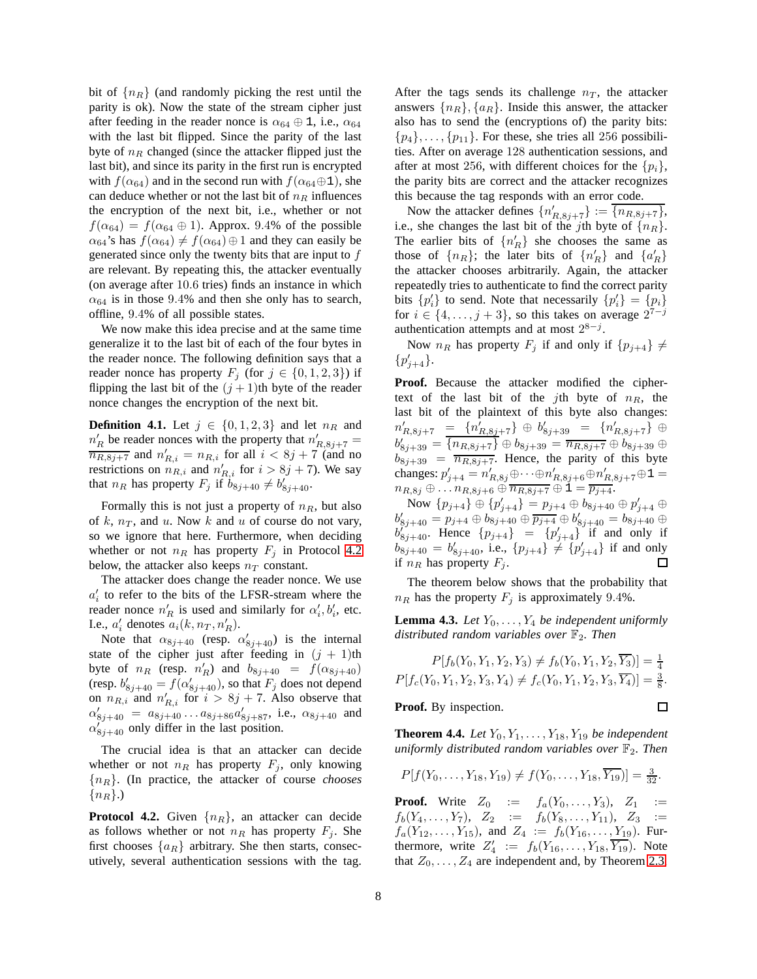bit of  $\{n_R\}$  (and randomly picking the rest until the parity is ok). Now the state of the stream cipher just after feeding in the reader nonce is  $\alpha_{64} \oplus 1$ , i.e.,  $\alpha_{64}$ with the last bit flipped. Since the parity of the last byte of  $n_R$  changed (since the attacker flipped just the last bit), and since its parity in the first run is encrypted with  $f(\alpha_{64})$  and in the second run with  $f(\alpha_{64} \oplus 1)$ , she can deduce whether or not the last bit of  $n_R$  influences the encryption of the next bit, i.e., whether or not  $f(\alpha_{64}) = f(\alpha_{64} \oplus 1)$ . Approx. 9.4% of the possible  $\alpha_{64}$ 's has  $f(\alpha_{64}) \neq f(\alpha_{64}) \oplus 1$  and they can easily be generated since only the twenty bits that are input to  $f$ are relevant. By repeating this, the attacker eventually (on average after 10.6 tries) finds an instance in which  $\alpha_{64}$  is in those 9.4% and then she only has to search, offline, 9.4% of all possible states.

We now make this idea precise and at the same time generalize it to the last bit of each of the four bytes in the reader nonce. The following definition says that a reader nonce has property  $F_j$  (for  $j \in \{0, 1, 2, 3\}$ ) if flipping the last bit of the  $(j + 1)$ th byte of the reader nonce changes the encryption of the next bit.

**Definition 4.1.** Let  $j \in \{0, 1, 2, 3\}$  and let  $n_R$  and  $n'_R$  be reader nonces with the property that  $n'_{R,8j+7}$  =  $\overline{n_{R,8j+7}}$  and  $n'_{R,i} = n_{R,i}$  for all  $i < 8j+7$  (and no restrictions on  $n_{R,i}$  and  $n'_{R,i}$  for  $i > 8j + 7$ ). We say that  $n_R$  has property  $F_j$  if  $b_{8j+40} \neq b'_{8j+40}$ .

Formally this is not just a property of  $n<sub>R</sub>$ , but also of  $k$ ,  $n<sub>T</sub>$ , and  $u$ . Now  $k$  and  $u$  of course do not vary, so we ignore that here. Furthermore, when deciding whether or not  $n_R$  has property  $F_j$  in Protocol [4.2](#page-7-0) below, the attacker also keeps  $n_T$  constant.

The attacker does change the reader nonce. We use  $a'_i$  to refer to the bits of the LFSR-stream where the reader nonce  $n'_R$  is used and similarly for  $\alpha'_i, b'_i$ , etc. I.e.,  $a'_i$  denotes  $a_i(k, n_T, n'_R)$ .

Note that  $\alpha_{8j+40}$  (resp.  $\alpha'_{8j+40}$ ) is the internal state of the cipher just after feeding in  $(j + 1)$ th byte of  $n_R$  (resp.  $n'_R$ ) and  $b_{8j+40} = f(\alpha_{8j+40})$ (resp.  $b'_{8j+40} = f(\alpha'_{8j+40})$ , so that  $F_j$  does not depend on  $n_{R,i}$  and  $n'_{R,i}$  for  $i > 8j + 7$ . Also observe that  $\alpha'_{8j+40} = a_{8j+40} \dots a_{8j+86} a'_{8j+87}$ , i.e.,  $\alpha_{8j+40}$  and  $\alpha_{8j+40}^{j+10}$  only differ in the last position.

The crucial idea is that an attacker can decide whether or not  $n_R$  has property  $F_j$ , only knowing {nR}. (In practice, the attacker of course *chooses*  $\{n_R\}$ .

<span id="page-7-0"></span>**Protocol 4.2.** Given  $\{n_R\}$ , an attacker can decide as follows whether or not  $n_R$  has property  $F_j$ . She first chooses  $\{a_R\}$  arbitrary. She then starts, consecutively, several authentication sessions with the tag.

After the tags sends its challenge  $n<sub>T</sub>$ , the attacker answers  $\{n_R\}, \{a_R\}$ . Inside this answer, the attacker also has to send the (encryptions of) the parity bits:  $\{p_4\}, \ldots, \{p_{11}\}.$  For these, she tries all 256 possibilities. After on average 128 authentication sessions, and after at most 256, with different choices for the  $\{p_i\}$ , the parity bits are correct and the attacker recognizes this because the tag responds with an error code.

Now the attacker defines  $\{n'_{R,8j+7}\} := \overline{\{n_{R,8j+7}\}},$ i.e., she changes the last bit of the jth byte of  $\{n_R\}$ . The earlier bits of  $\{n'_R\}$  she chooses the same as those of  $\{n_R\}$ ; the later bits of  $\{n'_R\}$  and  $\{a'_R\}$ the attacker chooses arbitrarily. Again, the attacker repeatedly tries to authenticate to find the correct parity bits  $\{p'_i\}$  to send. Note that necessarily  $\{p'_i\} = \{p_i\}$ for  $i \in \{4, \ldots, j+3\}$ , so this takes on average  $2^{7-j}$ authentication attempts and at most  $2^{8-j}$ .

Now  $n_R$  has property  $F_i$  if and only if  $\{p_{i+4}\}\neq$  ${p'_{j+4}}.$ 

Proof. Because the attacker modified the ciphertext of the last bit of the jth byte of  $n<sub>R</sub>$ , the last bit of the plaintext of this byte also changes:  $n'_{R,8j+7} = \{n'_{R,8j+7}\} \oplus b'_{8j+39} = \{n'_{R,8j+7}\} \oplus$  $b'_{8j+39} = \overline{\{n_{R,8j+7}\}} \oplus b_{8j+39} = \overline{n_{R,8j+7}} \oplus b_{8j+39} \oplus$  $b_{8j+39} = \overline{n_{R,8j+7}}$ . Hence, the parity of this byte changes:  $p'_{j+4} = n'_{R,8j} \oplus \cdots \oplus n'_{R,8j+6} \oplus n'_{R,8j+7} \oplus 1 =$  $n_{R,8j} \oplus \ldots n_{R,8j+6} \oplus \overline{n_{R,8j+7}} \oplus 1 = \overline{p_{j+4}}.$ 

Now  $\{p_{j+4}\}\oplus \{p'_{j+4}\}=p_{j+4}\oplus b_{8j+40}\oplus p'_{j+4}\oplus$  $b'_{8j+40} = p_{j+4} \oplus b_{8j+40} \oplus p_{j+4} \oplus b'_{8j+40} = b_{8j+40} \oplus$  $b_{8j+40}$ . Hence  $\{p_{j+4}\}$  =  $\{p_{j+4}'\}$  if and only if  $b_{8j+40} = b'_{8j+40}$ , i.e.,  $\{p_{j+4}\}\neq \{p'_{j+4}\}\$ if and only if  $n_R$  has property  $F_j$ .

<span id="page-7-1"></span>The theorem below shows that the probability that  $n_R$  has the property  $F_j$  is approximately 9.4%.

**Lemma 4.3.** *Let*  $Y_0, \ldots, Y_4$  *be independent uniformly distributed random variables over*  $\mathbb{F}_2$ *. Then* 

 $P[f_b(Y_0, Y_1, Y_2, Y_3) \neq f_b(Y_0, Y_1, Y_2, \overline{Y_3})] = \frac{1}{4}$  $P[f_c(Y_0, Y_1, Y_2, Y_3, Y_4) \neq f_c(Y_0, Y_1, Y_2, Y_3, \overline{Y_4})] = \frac{3}{8}.$ 

 $\Box$ 

#### **Proof.** By inspection.

**Theorem 4.4.** *Let*  $Y_0, Y_1, \ldots, Y_{18}, Y_{19}$  *be independent uniformly distributed random variables over*  $\mathbb{F}_2$ *. Then* 

$$
P[f(Y_0,\ldots,Y_{18},Y_{19})\neq f(Y_0,\ldots,Y_{18},\overline{Y_{19}})]=\frac{3}{32}.
$$

**Proof.** Write  $Z_0 := f_a(Y_0, ..., Y_3), Z_1 :=$  $f_b(Y_4, \ldots, Y_7), \quad Z_2 \quad := \quad f_b(Y_8, \ldots, Y_{11}), \quad Z_3 \quad :=$  $f_a(Y_{12}, \ldots, Y_{15})$ , and  $Z_4 := f_b(Y_{16}, \ldots, Y_{19})$ . Furthermore, write  $Z'_4 := f_b(Y_{16}, \ldots, Y_{18}, \overline{Y_{19}})$ . Note that  $Z_0, \ldots, Z_4$  are independent and, by Theorem [2.3,](#page-3-0)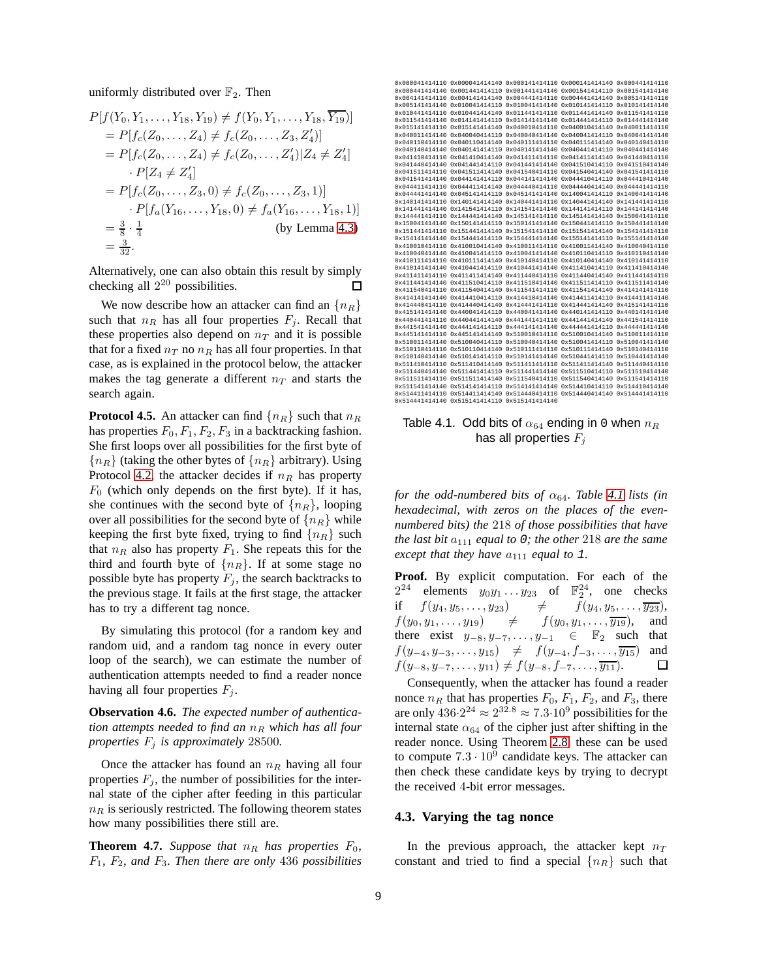uniformly distributed over  $\mathbb{F}_2$ . Then

$$
P[f(Y_0, Y_1, \dots, Y_{18}, Y_{19}) \neq f(Y_0, Y_1, \dots, Y_{18}, \overline{Y_{19}})]
$$
  
=  $P[f_c(Z_0, \dots, Z_4) \neq f_c(Z_0, \dots, Z_3, Z'_4)]$   
=  $P[f_c(Z_0, \dots, Z_4) \neq f_c(Z_0, \dots, Z'_4) | Z_4 \neq Z'_4]$   
 $\cdot P[Z_4 \neq Z'_4]$   
=  $P[f_c(Z_0, \dots, Z_3, 0) \neq f_c(Z_0, \dots, Z_3, 1)]$   
 $\cdot P[f_a(Y_{16}, \dots, Y_{18}, 0) \neq f_a(Y_{16}, \dots, Y_{18}, 1)]$   
=  $\frac{3}{8} \cdot \frac{1}{4}$  (by Lemma 4.3)  
=  $\frac{3}{32}$ .

Alternatively, one can also obtain this result by simply checking all  $2^{20}$  possibilities. П

We now describe how an attacker can find an  ${n_R}$ such that  $n_R$  has all four properties  $F_j$ . Recall that these properties also depend on  $n<sub>T</sub>$  and it is possible that for a fixed  $n_T$  no  $n_R$  has all four properties. In that case, as is explained in the protocol below, the attacker makes the tag generate a different  $n_T$  and starts the search again.

**Protocol 4.5.** An attacker can find  $\{n_R\}$  such that  $n_R$ has properties  $F_0, F_1, F_2, F_3$  in a backtracking fashion. She first loops over all possibilities for the first byte of  ${n_R}$  (taking the other bytes of  ${n_R}$  arbitrary). Using Protocol [4.2,](#page-7-0) the attacker decides if  $n_R$  has property  $F_0$  (which only depends on the first byte). If it has, she continues with the second byte of  $\{n_R\}$ , looping over all possibilities for the second byte of  $\{n_R\}$  while keeping the first byte fixed, trying to find  $\{n_R\}$  such that  $n_R$  also has property  $F_1$ . She repeats this for the third and fourth byte of  $\{n_R\}$ . If at some stage no possible byte has property  $F_i$ , the search backtracks to the previous stage. It fails at the first stage, the attacker has to try a different tag nonce.

By simulating this protocol (for a random key and random uid, and a random tag nonce in every outer loop of the search), we can estimate the number of authentication attempts needed to find a reader nonce having all four properties  $F_i$ .

**Observation 4.6.** *The expected number of authentication attempts needed to find an*  $n_R$  *which has all four properties*  $F_i$  *is approximately* 28500*.* 

Once the attacker has found an  $n_R$  having all four properties  $F_j$ , the number of possibilities for the internal state of the cipher after feeding in this particular  $n_R$  is seriously restricted. The following theorem states how many possibilities there still are.

**Theorem 4.7.** *Suppose that*  $n_R$  *has properties*  $F_0$ *,* F1*,* F2*, and* F3*. Then there are only* 436 *possibilities*

|  |                                              | 0x000041414110 0x000041414140 0x000141414110 0x000141414140 0x000441414110         |                |
|--|----------------------------------------------|------------------------------------------------------------------------------------|----------------|
|  |                                              | 0x000441414140 0x001441414110 0x001441414140 0x001541414110 0x001541414140         |                |
|  |                                              | 0x0041414141110 0x004141414140 0x004441414110 0x004441414140 0x005141414110        |                |
|  |                                              | 0x005141414140 0x010041414110 0x010041414140 0x010141414110 0x010141414140         |                |
|  |                                              | 0x010441414110 0x010441414140 0x011441414110 0x011441414140 0x011541414110         |                |
|  |                                              | 0x011541414140 0x014141414110 0x014141414140 0x01444141110 0x014441414140          |                |
|  |                                              | 0x015141414110 0x015141414140 0x040010414110 0x040010414140 0x040011414110         |                |
|  |                                              | 0x040011414140   0x040040414110   0x040040414140   0x040041414110                  | 0x040041414140 |
|  |                                              | 0x040110414110 0x040110414140 0x040111414110 0x040111414140                        | 0x040140414110 |
|  |                                              | 0x040140414140 0x040141414110 0x040141414140 0x040441414110 0x040441414140         |                |
|  |                                              |                                                                                    |                |
|  |                                              | 0x041440414140 0x041441414110 0x041441414140 0x041510414110 0x041510414140         |                |
|  |                                              | 0x041511414110 0x041511414140 0x041540414110 0x041540414140 0x041541414110         |                |
|  |                                              | 0x041541414140 0x044141414110 0x044141414140 0x044410414110 0x044410414140         |                |
|  |                                              | 0x04441141110 0x044411414140 0x044440414110 0x044440414140 0x044441414110          |                |
|  |                                              | 0x044441414140 0x045141414110 0x045141414140 0x140041414110 0x140041414140         |                |
|  |                                              | 0x1401414141110 0x140141414140 0x140441414110 0x140441414140 0x141441414110        |                |
|  |                                              | 0x141441414140   0x141541414110   0x141541414140   0x14414141110   0x144141414140  |                |
|  |                                              | 0x144441414110 0x144441414140 0x14514141110 0x145141414140 0x150041414110          |                |
|  |                                              | 0x150041414140 0x150141414110 0x150141414140 0x150441414110 0x150441414140         |                |
|  |                                              | 0x151441414110 0x151441414140 0x151541414110 0x151541414140 0x154141414110         |                |
|  |                                              | 0x154141414140 0x154441414110 0x154441414140 0x155141414110 0x155141414140         |                |
|  |                                              | 0x410010414110 0x410010414140 0x410011414110 0x410011414140 0x410040414110         |                |
|  |                                              | 0x410040414140 0x410041414110 0x410041414140 0x410110414110 0x410110414140         |                |
|  |                                              | 0x410111414110 0x410111414140 0x410140414110 0x410140414140 0x410141414110         |                |
|  |                                              | 0x410141414140   0x410441414110   0x410441414140   0x411410414110   0x411410414140 |                |
|  |                                              | 0x411411414110 0x411411414140 0x411440414110 0x411440414140 0x411441414110         |                |
|  |                                              | 0x411441414140 0x411510414110 0x411510414140 0x411511414110 0x411511414140         |                |
|  |                                              | 0x411540414110 0x411540414140 0x411541414110 0x411541414140 0x414141414110         |                |
|  |                                              | 0x414141414140 0x414410414110 0x414410414140 0x414411414110 0x414411414140         |                |
|  |                                              | 0x414440414110 0x414440414140 0x414441414110 0x414441414140 0x415141414110         |                |
|  |                                              | 0x415141414140 0x440041414110 0x440041414140 0x44014141110 0x440141414140          |                |
|  |                                              | 0x440441414110 0x440441414140 0x441441414110 0x441441414140 0x441541414110         |                |
|  |                                              | 0x441541414140 0x444141414110 0x444141414140 0x444441414110 0x444441414140         |                |
|  |                                              | 0x445141414110 0x445141414140 0x510010414110 0x510010414140 0x510011414110         |                |
|  |                                              | 0x510011414140 0x510040414110 0x510040414140 0x510041414110 0x510041414140         |                |
|  |                                              | 0x510110414110 0x510110414140 0x510111414110 0x510111414140 0x510140414110         |                |
|  |                                              | 0x510140414140 0x510141414110 0x510141414140 0x510441414110 0x510441414140         |                |
|  |                                              | 0x511410414110 0x511410414140 0x51141141110 0x511411414140 0x511440414110          |                |
|  |                                              | 0x511440414140 0x511441414110 0x511441414140 0x511510414110 0x511510414140         |                |
|  |                                              | 0x511511414110 0x511511414140 0x511540414110 0x511540414140 0x511541414110         |                |
|  |                                              | 0x511541414140 0x514141414110 0x514141414140 0x514410414110 0x514410414140         |                |
|  |                                              | 0x514411414110 0x514411414140 0x514440414110 0x514440414140 0x514441414110         |                |
|  | 0x514441414140 0x515141414110 0x515141414140 |                                                                                    |                |
|  |                                              |                                                                                    |                |

<span id="page-8-1"></span>Table 4.1. Odd bits of  $\alpha_{64}$  ending in 0 when  $n_R$ has all properties  $F_j$ 

*for the odd-numbered bits of*  $\alpha_{64}$ *. Table [4.1](#page-8-1) lists (in hexadecimal, with zeros on the places of the evennumbered bits) the* 218 *of those possibilities that have the last bit*  $a_{111}$  *equal to 0; the other* 218 *are the same except that they have*  $a_{111}$  *equal to* 1*.* 

**Proof.** By explicit computation. For each of the <sup>24</sup> elements  $y_0y_1 \ldots y_{23}$  of  $\mathbb{F}_2^{24}$ , one checks  $2^{24}$ if  $f(y_4, y_5, \ldots, y_{23}) \neq f(y_4, y_5, \ldots, \overline{y_{23}}),$  $f(y_0, y_1, \ldots, y_{19}) \neq f(y_0, y_1, \ldots, \overline{y_{19}})$ , and there exist  $y_{-8}, y_{-7}, \ldots, y_{-1} \in \mathbb{F}_2$  such that  $f(y_{-4}, y_{-3}, \ldots, y_{15}) \neq f(y_{-4}, f_{-3}, \ldots, \overline{y_{15}})$  and  $f(y_{-8}, y_{-7}, \ldots, y_{11}) \neq f(y_{-8}, f_{-7}, \ldots, \overline{y_{11}}).$  $\Box$ 

Consequently, when the attacker has found a reader nonce  $n_R$  that has properties  $F_0$ ,  $F_1$ ,  $F_2$ , and  $F_3$ , there are only  $436.2^{24} \approx 2^{32.8} \approx 7.3.10^9$  possibilities for the internal state  $\alpha_{64}$  of the cipher just after shifting in the reader nonce. Using Theorem [2.8,](#page-4-5) these can be used to compute  $7.3 \cdot 10^9$  candidate keys. The attacker can then check these candidate keys by trying to decrypt the received 4-bit error messages.

#### <span id="page-8-0"></span>**4.3. Varying the tag nonce**

In the previous approach, the attacker kept  $n_T$ constant and tried to find a special  $\{n_R\}$  such that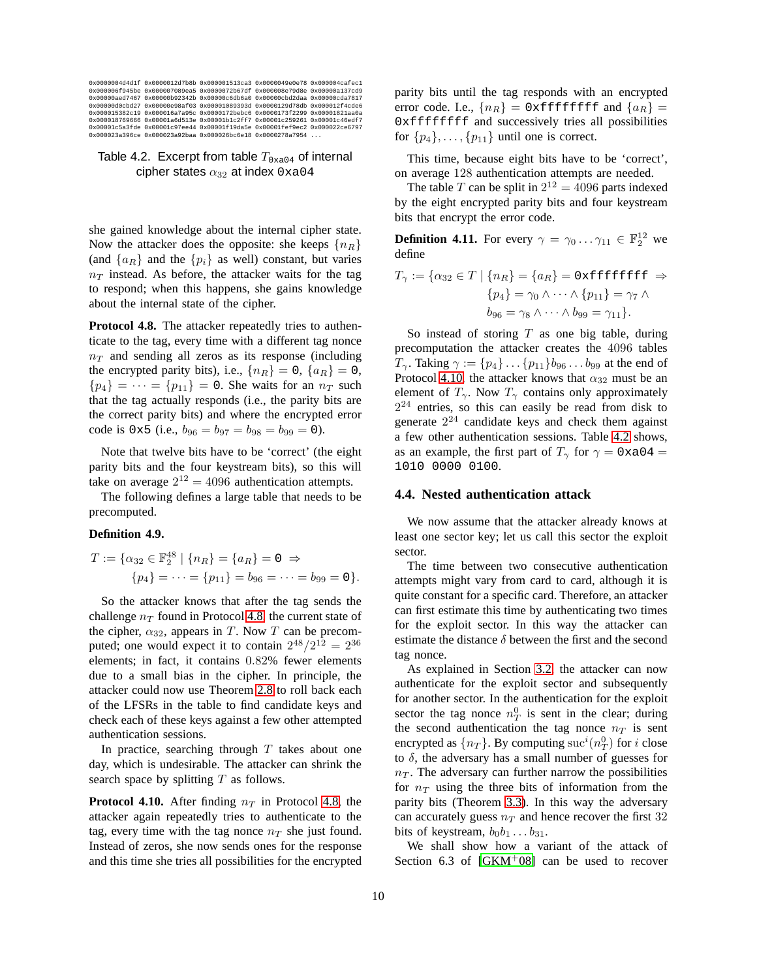| 0x0000004d4dlf 0x0000012d7b8b 0x000001513ca3 0x0000049e0e78 0x000004cafec1 |  |  |
|----------------------------------------------------------------------------|--|--|
| 0x000006f945be 0x000007089ea5 0x0000072b67df 0x000008e79d8e 0x00000a137cd9 |  |  |
| 0x00000aed7467 0x00000b92342b 0x00000c6db6a0 0x00000cbd2daa 0x00000cda7817 |  |  |
| 0x00000d0cbd27 0x00000e98af03 0x00001089393d 0x0000129d78db 0x000012f4cde6 |  |  |
| 0x000015382c19 0x000016a7a95c 0x0000172bebc6 0x0000173f2299 0x00001821aa0a |  |  |
| 0x000018769666 0x00001a6d513e 0x00001b1c2ff7 0x00001c259261 0x00001c46edf7 |  |  |
| 0x00001c5a3fde 0x00001c97ee44 0x00001f19da5e 0x00001fef9ec2 0x000022ce6797 |  |  |
| 0x000023a396ce 0x000023a92baa 0x000026bc6e18 0x0000278a7954                |  |  |

## <span id="page-9-2"></span>Table 4.2. Excerpt from table  $T_{0\times a04}$  of internal cipher states  $\alpha_{32}$  at index 0xa04

she gained knowledge about the internal cipher state. Now the attacker does the opposite: she keeps  $\{n_R\}$ (and  $\{a_R\}$  and the  $\{p_i\}$  as well) constant, but varies  $n<sub>T</sub>$  instead. As before, the attacker waits for the tag to respond; when this happens, she gains knowledge about the internal state of the cipher.

<span id="page-9-0"></span>Protocol 4.8. The attacker repeatedly tries to authenticate to the tag, every time with a different tag nonce  $n_T$  and sending all zeros as its response (including the encrypted parity bits), i.e.,  $\{n_R\} = 0$ ,  $\{a_R\} = 0$ ,  ${p_4} = \cdots = {p_{11}} = 0$ . She waits for an  $n_T$  such that the tag actually responds (i.e., the parity bits are the correct parity bits) and where the encrypted error code is  $0 \times 5$  (i.e.,  $b_{96} = b_{97} = b_{98} = b_{99} = 0$ ).

Note that twelve bits have to be 'correct' (the eight parity bits and the four keystream bits), so this will take on average  $2^{12} = 4096$  authentication attempts.

The following defines a large table that needs to be precomputed.

#### **Definition 4.9.**

$$
T := \{ \alpha_{32} \in \mathbb{F}_2^{48} \mid \{ n_R \} = \{ a_R \} = 0 \Rightarrow
$$
  

$$
\{ p_4 \} = \dots = \{ p_{11} \} = b_{96} = \dots = b_{99} = 0 \}.
$$

So the attacker knows that after the tag sends the challenge  $n_T$  found in Protocol [4.8,](#page-9-0) the current state of the cipher,  $\alpha_{32}$ , appears in T. Now T can be precomputed; one would expect it to contain  $2^{48}/2^{12} = 2^{36}$ elements; in fact, it contains 0.82% fewer elements due to a small bias in the cipher. In principle, the attacker could now use Theorem [2.8](#page-4-5) to roll back each of the LFSRs in the table to find candidate keys and check each of these keys against a few other attempted authentication sessions.

In practice, searching through  $T$  takes about one day, which is undesirable. The attacker can shrink the search space by splitting  $T$  as follows.

<span id="page-9-1"></span>**Protocol 4.10.** After finding  $n<sub>T</sub>$  in Protocol [4.8,](#page-9-0) the attacker again repeatedly tries to authenticate to the tag, every time with the tag nonce  $n<sub>T</sub>$  she just found. Instead of zeros, she now sends ones for the response and this time she tries all possibilities for the encrypted parity bits until the tag responds with an encrypted error code. I.e.,  $\{n_R\}$  = 0xfffffffff and  $\{a_R\}$  = 0xffffffff and successively tries all possibilities for  $\{p_4\}, \ldots, \{p_{11}\}\$  until one is correct.

This time, because eight bits have to be 'correct', on average 128 authentication attempts are needed.

The table T can be split in  $2^{12} = 4096$  parts indexed by the eight encrypted parity bits and four keystream bits that encrypt the error code.

**Definition 4.11.** For every  $\gamma = \gamma_0 \dots \gamma_{11} \in \mathbb{F}_2^{12}$  we define

$$
T_{\gamma} := \{ \alpha_{32} \in T \mid \{ n_R \} = \{ a_R \} = 0 \times \text{effiff} \} \Rightarrow
$$

$$
\{ p_4 \} = \gamma_0 \wedge \dots \wedge \{ p_{11} \} = \gamma_7 \wedge
$$

$$
b_{96} = \gamma_8 \wedge \dots \wedge b_{99} = \gamma_{11} \}.
$$

So instead of storing  $T$  as one big table, during precomputation the attacker creates the 4096 tables  $T_{\gamma}$ . Taking  $\gamma := \{p_4\} \dots \{p_{11}\}b_{96} \dots b_{99}$  at the end of Protocol [4.10,](#page-9-1) the attacker knows that  $\alpha_{32}$  must be an element of  $T_{\gamma}$ . Now  $T_{\gamma}$  contains only approximately  $2^{24}$  entries, so this can easily be read from disk to generate  $2^{24}$  candidate keys and check them against a few other authentication sessions. Table [4.2](#page-9-2) shows, as an example, the first part of  $T_{\gamma}$  for  $\gamma = 0 \times 0.04 =$ 1010 0000 0100.

#### **4.4. Nested authentication attack**

We now assume that the attacker already knows at least one sector key; let us call this sector the exploit sector.

The time between two consecutive authentication attempts might vary from card to card, although it is quite constant for a specific card. Therefore, an attacker can first estimate this time by authenticating two times for the exploit sector. In this way the attacker can estimate the distance  $\delta$  between the first and the second tag nonce.

As explained in Section [3.2,](#page-5-3) the attacker can now authenticate for the exploit sector and subsequently for another sector. In the authentication for the exploit sector the tag nonce  $n_T^0$  is sent in the clear; during the second authentication the tag nonce  $n<sub>T</sub>$  is sent encrypted as  $\{n_T\}$ . By computing  $\mathrm{suc}^i(n_T^0)$  for *i* close to  $\delta$ , the adversary has a small number of guesses for  $n<sub>T</sub>$ . The adversary can further narrow the possibilities for  $n_T$  using the three bits of information from the parity bits (Theorem [3.3\)](#page-5-4). In this way the adversary can accurately guess  $n_T$  and hence recover the first 32 bits of keystream,  $b_0b_1 \ldots b_{31}$ .

We shall show how a variant of the attack of Section 6.3 of  $[GKM^+08]$  can be used to recover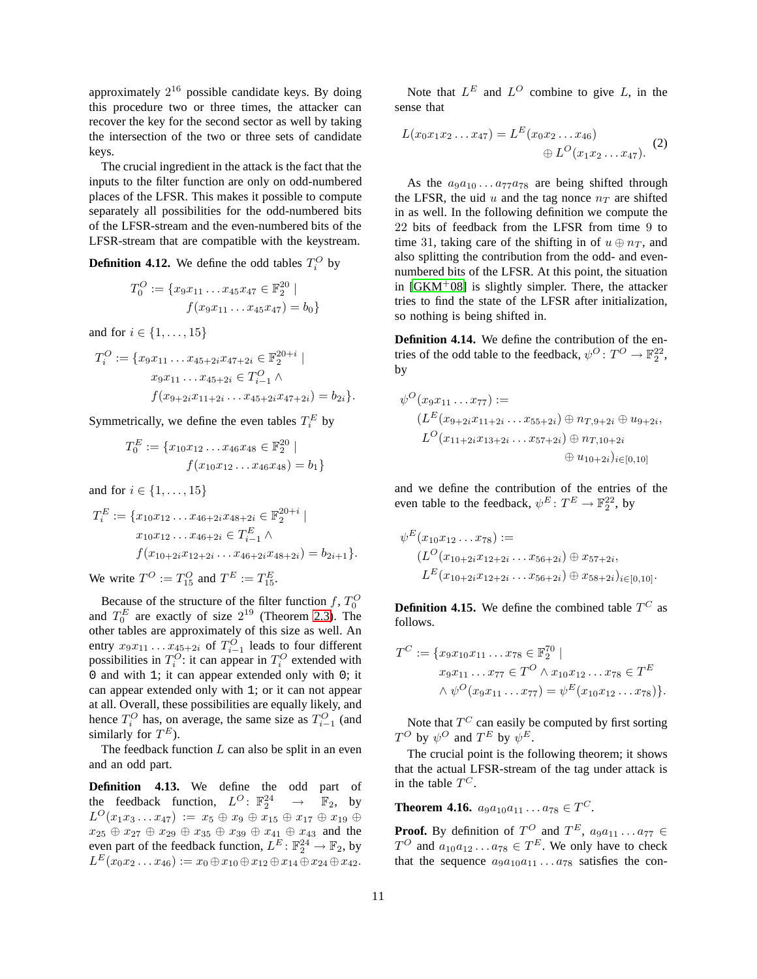approximately  $2^{16}$  possible candidate keys. By doing this procedure two or three times, the attacker can recover the key for the second sector as well by taking the intersection of the two or three sets of candidate keys.

The crucial ingredient in the attack is the fact that the inputs to the filter function are only on odd-numbered places of the LFSR. This makes it possible to compute separately all possibilities for the odd-numbered bits of the LFSR-stream and the even-numbered bits of the LFSR-stream that are compatible with the keystream.

**Definition 4.12.** We define the odd tables  $T_i^O$  by

$$
T_0^O := \{ x_9 x_{11} \dots x_{45} x_{47} \in \mathbb{F}_2^{20} \mid f(x_9 x_{11} \dots x_{45} x_{47}) = b_0 \}
$$

and for  $i \in \{1, ..., 15\}$ 

$$
T_i^O := \{ x_9x_{11} \dots x_{45+2i}x_{47+2i} \in \mathbb{F}_2^{20+i} \mid
$$
  
\n
$$
x_9x_{11} \dots x_{45+2i} \in T_{i-1}^O \land
$$
  
\n
$$
f(x_{9+2i}x_{11+2i} \dots x_{45+2i}x_{47+2i}) = b_{2i} \}.
$$

Symmetrically, we define the even tables  $T_i^E$  by

$$
T_0^E := \{x_{10}x_{12} \dots x_{46}x_{48} \in \mathbb{F}_2^{20} \mid f(x_{10}x_{12} \dots x_{46}x_{48}) = b_1 \}
$$

and for  $i \in \{1, ..., 15\}$ 

$$
T_i^E := \{ x_{10} x_{12} \dots x_{46+2i} x_{48+2i} \in \mathbb{F}_2^{20+i} \mid
$$
  
\n
$$
x_{10} x_{12} \dots x_{46+2i} \in T_{i-1}^E \land
$$
  
\n
$$
f(x_{10+2i} x_{12+2i} \dots x_{46+2i} x_{48+2i}) = b_{2i+1} \}.
$$

We write  $T^O := T_{15}^O$  and  $T^E := T_{15}^E$ .

Because of the structure of the filter function f,  $T_0^O$ and  $T_0^E$  are exactly of size  $2^{19}$  (Theorem [2.3\)](#page-3-0). The other tables are approximately of this size as well. An entry  $x_9x_{11} \ldots x_{45+2i}$  of  $T_{i-1}^O$  leads to four different possibilities in  $T_i^O$ : it can appear in  $T_i^O$  extended with 0 and with 1; it can appear extended only with 0; it can appear extended only with 1; or it can not appear at all. Overall, these possibilities are equally likely, and hence  $T_i^O$  has, on average, the same size as  $T_{i-1}^O$  (and similarly for  $T^E$ ).

The feedback function  $L$  can also be split in an even and an odd part.

**Definition 4.13.** We define the odd part of the feedback function,  $L^O$ :  $\mathbb{F}_2^{24}$  $\rightarrow$   $\mathbb{F}_2$ , by  $L^O(x_1x_3 \ldots x_{47}) \,:=\, x_5 \,\oplus\, x_9 \,\oplus\, x_{15} \,\oplus\, x_{17} \,\oplus\, x_{19} \,\oplus\,$  $x_{25} \oplus x_{27} \oplus x_{29} \oplus x_{35} \oplus x_{39} \oplus x_{41} \oplus x_{43}$  and the even part of the feedback function,  $L^E: \mathbb{F}_2^{24} \to \mathbb{F}_2$ , by  $L^E(x_0x_2\ldots x_{46}):=x_0\oplus x_{10}\oplus x_{12}\oplus x_{14}\oplus x_{24}\oplus x_{42}.$ 

Note that  $L^E$  and  $L^O$  combine to give L, in the sense that

<span id="page-10-1"></span>
$$
L(x_0x_1x_2...x_{47}) = L^E(x_0x_2...x_{46})
$$
  

$$
\oplus L^O(x_1x_2...x_{47}).
$$
 (2)

As the  $a_9a_{10} \ldots a_{77}a_{78}$  are being shifted through the LFSR, the uid  $u$  and the tag nonce  $n_T$  are shifted in as well. In the following definition we compute the 22 bits of feedback from the LFSR from time 9 to time 31, taking care of the shifting in of  $u \oplus n_T$ , and also splitting the contribution from the odd- and evennumbered bits of the LFSR. At this point, the situation in  $[GKM^+08]$  $[GKM^+08]$  is slightly simpler. There, the attacker tries to find the state of the LFSR after initialization, so nothing is being shifted in.

<span id="page-10-0"></span>**Definition 4.14.** We define the contribution of the entries of the odd table to the feedback,  $\psi^O \colon T^O \to \mathbb{F}_2^{22}$ , by

$$
\psi^{O}(x_9x_{11} \dots x_{77}) :=
$$
\n
$$
(L^{E}(x_{9+2i}x_{11+2i} \dots x_{55+2i}) \oplus n_{T,9+2i} \oplus u_{9+2i},
$$
\n
$$
L^{O}(x_{11+2i}x_{13+2i} \dots x_{57+2i}) \oplus n_{T,10+2i}
$$
\n
$$
\oplus u_{10+2i})_{i \in [0,10]}
$$

and we define the contribution of the entries of the even table to the feedback,  $\psi^E \colon T^E \to \mathbb{F}_2^{22}$ , by

$$
\psi^E(x_{10}x_{12} \dots x_{78}) :=
$$
  
\n
$$
(L^O(x_{10+2i}x_{12+2i} \dots x_{56+2i}) \oplus x_{57+2i},
$$
  
\n
$$
L^E(x_{10+2i}x_{12+2i} \dots x_{56+2i}) \oplus x_{58+2i})_{i \in [0,10]}.
$$

**Definition 4.15.** We define the combined table  $T^C$  as follows.

$$
T^{C} := \{ x_9x_{10}x_{11} \dots x_{78} \in \mathbb{F}_2^{70} \mid
$$
  
\n
$$
x_9x_{11} \dots x_{77} \in T^{O} \land x_{10}x_{12} \dots x_{78} \in T^{E}
$$
  
\n
$$
\land \psi^{O}(x_9x_{11} \dots x_{77}) = \psi^{E}(x_{10}x_{12} \dots x_{78}) \}.
$$

Note that  $T^C$  can easily be computed by first sorting  $T^O$  by  $\psi^O$  and  $T^E$  by  $\psi^E$ .

The crucial point is the following theorem; it shows that the actual LFSR-stream of the tag under attack is in the table  $T^C$ .

**Theorem 4.16.**  $a_9a_{10}a_{11} \ldots a_{78} \in T^C$ .

**Proof.** By definition of  $T^O$  and  $T^E$ ,  $a_9a_{11} \ldots a_{77} \in$  $T^O$  and  $a_{10}a_{12} \ldots a_{78} \in T^E$ . We only have to check that the sequence  $a_9a_{10}a_{11} \ldots a_{78}$  satisfies the con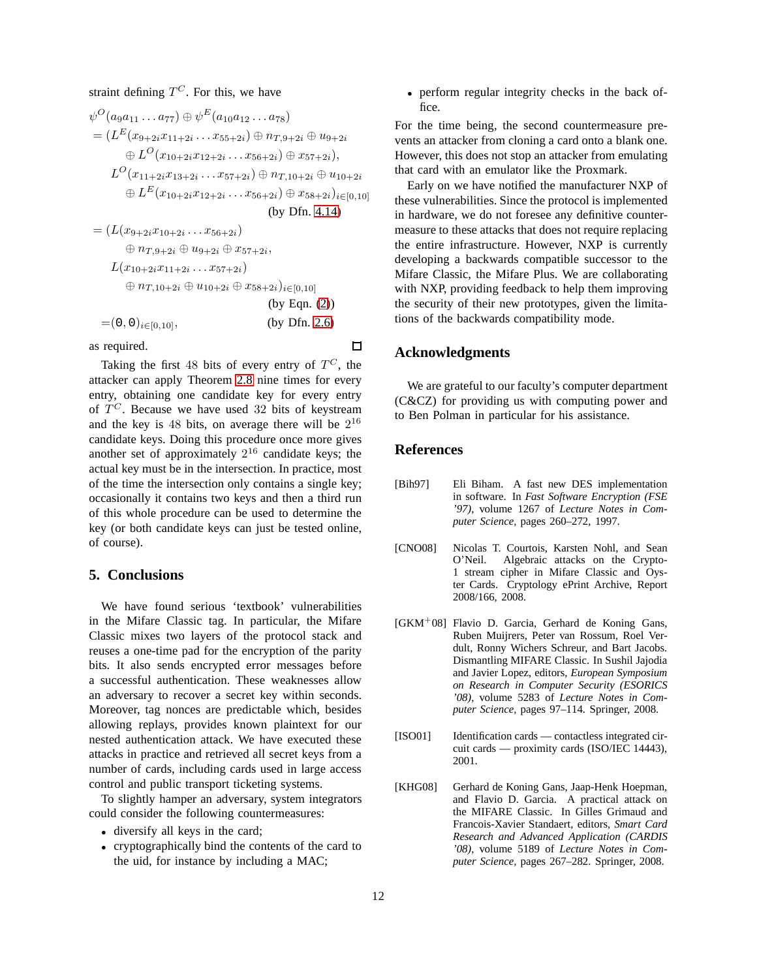straint defining  $T^C$ . For this, we have

$$
\psi^{O}(a_9a_{11}...a_{77}) \oplus \psi^{E}(a_{10}a_{12}...a_{78})
$$
\n
$$
= (L^{E}(x_{9+2i}x_{11+2i}...x_{55+2i}) \oplus n_{T,9+2i} \oplus u_{9+2i}
$$
\n
$$
\oplus L^{O}(x_{10+2i}x_{12+2i}...x_{56+2i}) \oplus x_{57+2i}),
$$
\n
$$
L^{O}(x_{11+2i}x_{13+2i}...x_{57+2i}) \oplus n_{T,10+2i} \oplus u_{10+2i}
$$
\n
$$
\oplus L^{E}(x_{10+2i}x_{12+2i}...x_{56+2i}) \oplus x_{58+2i})_{i \in [0,10]}
$$
\n(by Dfn. 4.14)\n
$$
= (L(x_{9+2i}x_{10+2i}...x_{56+2i})
$$
\n
$$
\oplus n_{T,9+2i} \oplus u_{9+2i} \oplus x_{57+2i},
$$
\n
$$
L(x_{10+2i}x_{11+2i}...x_{57+2i})
$$
\n
$$
\oplus n_{T,10+2i} \oplus u_{10+2i} \oplus x_{58+2i})_{i \in [0,10]}
$$
\n(by Eqn. (2))\n
$$
= (0, 0)_{i \in [0,10]},
$$
\n(by Dfn. 2.6)

as required.

Taking the first 48 bits of every entry of  $T^C$ , the attacker can apply Theorem [2.8](#page-4-5) nine times for every entry, obtaining one candidate key for every entry of  $T^C$ . Because we have used 32 bits of keystream and the key is 48 bits, on average there will be  $2^{16}$ candidate keys. Doing this procedure once more gives another set of approximately  $2^{16}$  candidate keys; the actual key must be in the intersection. In practice, most of the time the intersection only contains a single key; occasionally it contains two keys and then a third run of this whole procedure can be used to determine the key (or both candidate keys can just be tested online, of course).

## <span id="page-11-4"></span>**5. Conclusions**

We have found serious 'textbook' vulnerabilities in the Mifare Classic tag. In particular, the Mifare Classic mixes two layers of the protocol stack and reuses a one-time pad for the encryption of the parity bits. It also sends encrypted error messages before a successful authentication. These weaknesses allow an adversary to recover a secret key within seconds. Moreover, tag nonces are predictable which, besides allowing replays, provides known plaintext for our nested authentication attack. We have executed these attacks in practice and retrieved all secret keys from a number of cards, including cards used in large access control and public transport ticketing systems.

To slightly hamper an adversary, system integrators could consider the following countermeasures:

- diversify all keys in the card;
- cryptographically bind the contents of the card to the uid, for instance by including a MAC;

• perform regular integrity checks in the back office.

For the time being, the second countermeasure prevents an attacker from cloning a card onto a blank one. However, this does not stop an attacker from emulating that card with an emulator like the Proxmark.

Early on we have notified the manufacturer NXP of these vulnerabilities. Since the protocol is implemented in hardware, we do not foresee any definitive countermeasure to these attacks that does not require replacing the entire infrastructure. However, NXP is currently developing a backwards compatible successor to the Mifare Classic, the Mifare Plus. We are collaborating with NXP, providing feedback to help them improving the security of their new prototypes, given the limitations of the backwards compatibility mode.

## **Acknowledgments**

We are grateful to our faculty's computer department (C&CZ) for providing us with computing power and to Ben Polman in particular for his assistance.

## **References**

 $\Box$ 

- <span id="page-11-5"></span>[Bih97] Eli Biham. A fast new DES implementation in software. In *Fast Software Encryption (FSE '97)*, volume 1267 of *Lecture Notes in Computer Science*, pages 260–272, 1997.
- <span id="page-11-2"></span>[CNO08] Nicolas T. Courtois, Karsten Nohl, and Sean O'Neil. Algebraic attacks on the Crypto-1 stream cipher in Mifare Classic and Oyster Cards. Cryptology ePrint Archive, Report 2008/166, 2008.
- <span id="page-11-1"></span> $[GKM^+08]$  Flavio D. Garcia, Gerhard de Koning Gans, Ruben Muijrers, Peter van Rossum, Roel Verdult, Ronny Wichers Schreur, and Bart Jacobs. Dismantling MIFARE Classic. In Sushil Jajodia and Javier Lopez, editors, *European Symposium on Research in Computer Security (ESORICS '08)*, volume 5283 of *Lecture Notes in Computer Science*, pages 97–114. Springer, 2008.
- <span id="page-11-0"></span>[ISO01] Identification cards — contactless integrated circuit cards — proximity cards (ISO/IEC 14443), 2001.
- <span id="page-11-3"></span>[KHG08] Gerhard de Koning Gans, Jaap-Henk Hoepman, and Flavio D. Garcia. A practical attack on the MIFARE Classic. In Gilles Grimaud and Francois-Xavier Standaert, editors, *Smart Card Research and Advanced Application (CARDIS '08)*, volume 5189 of *Lecture Notes in Computer Science*, pages 267–282. Springer, 2008.